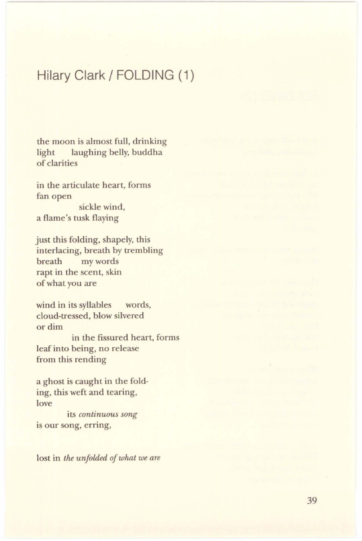# **Hilary Clark/ FOLDING (1)**

the moon is almost full, drinking light laughing belly, buddha of clarities

in the articulate heart, forms fan open sickle wind, a flame's tusk flaying

just this folding, shapely, this interlacing, breath by trembling breath my words rapt in the scent, skin of what you are

wind in its syllables words, cloud-tressed, blow silvered or dim in the fissured heart, forms leaf into being, no release from this rending

a ghost is caught in the folding, this weft and tearing, love

its *continuous song*  is our song, erring,

lost in *the unfolded of what we are*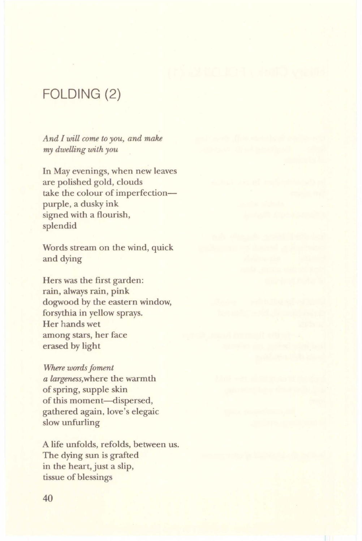# **FOLDING** (2)

*And I will come to you, and make my dwelling with you* 

In May evenings, when new leaves are polished gold, clouds take the colour of imperfectionpurple, a dusky ink signed with a flourish, splendid

Words stream on the wind, quick and dying

Hers was the first garden: rain, always rain, pink dogwood by the eastern window, forsythia in yellow sprays. Her hands wet among stars, her face erased by light

*Where words foment a largeness,where* the warmth of spring, supple skin of this moment-dispersed, gathered again, love's elegaic slow unfurling

A life unfolds, refolds, between us. The dying sun is grafted in the heart, just a slip, tissue of blessings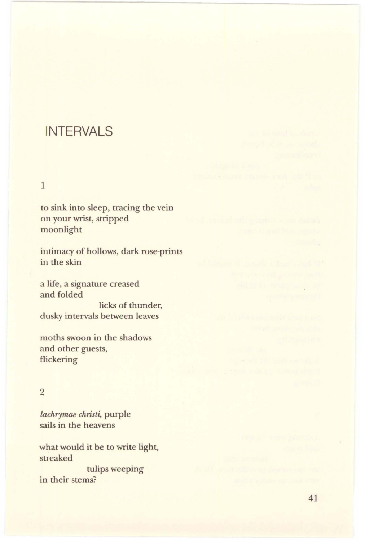### **INTERVALS**

#### 1

to sink into sleep, tracing the vein on your wrist, stripped moonlight

intimacy of hollows, dark rose-prints in the skin

a life, a signature creased and folded licks of thunder, dusky intervals between leaves

moths swoon in the shadows and other guests, flickering

### 2

*lachrymae christi,* purple sails in the heavens

what would it be to write light, streaked tulips weeping

in their stems?

did is so missio sings as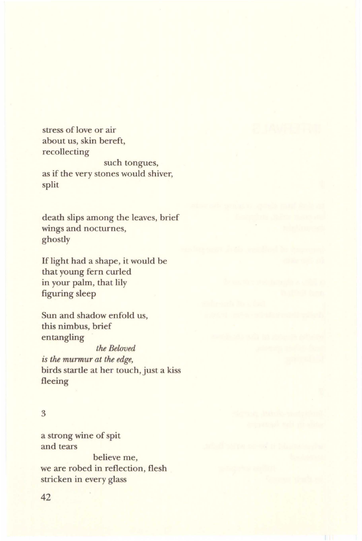stress of love or air about us, skin bereft, recollecting such tongues, as if the very stones would shiver, split

death slips among the leaves, brief wings and nocturnes, ghostly

If light had a shape, it would be that young fern curled in your palm, that lily figuring sleep

Sun and shadow enfold us, this nimbus, brief entangling

*the Beloved is the murmur at the edge,*  birds startle at her touch, just a kiss fleeing

#### 3

a strong wine of spit and tears believe me, we are robed in reflection, flesh stricken in every glass